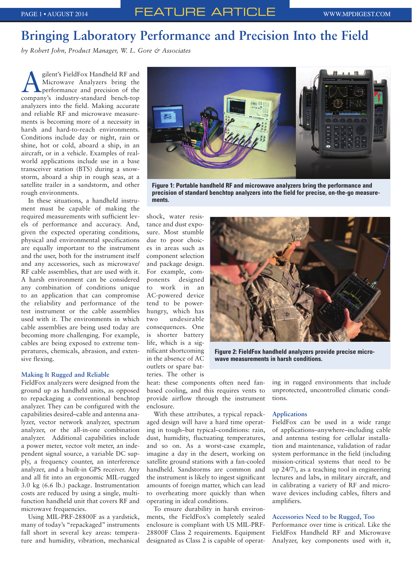# **Bringing Laboratory Performance and Precision Into the Field**

*by Robert John, Product Manager, W. L. Gore & Associates*

Silent's FieldFox Handheld RF and<br>Microwave Analyzers bring the<br>performance and precision of the Microwave Analyzers bring the performance and precision of the company's industry-standard bench-top analyzers into the field. Making accurate and reliable RF and microwave measurements is becoming more of a necessity in harsh and hard-to-reach environments. Conditions include day or night, rain or shine, hot or cold, aboard a ship, in an aircraft, or in a vehicle. Examples of realworld applications include use in a base transceiver station (BTS) during a snowstorm, aboard a ship in rough seas, at a satellite trailer in a sandstorm, and other rough environments.

In these situations, a handheld instrument must be capable of making the required measurements with sufficient levels of performance and accuracy. And, given the expected operating conditions, physical and environmental specifications are equally important to the instrument and the user, both for the instrument itself and any accessories, such as microwave/ RF cable assemblies, that are used with it. A harsh environment can be considered any combination of conditions unique to an application that can compromise the reliability and performance of the test instrument or the cable assemblies used with it. The environments in which cable assemblies are being used today are becoming more challenging. For example, cables are being exposed to extreme temperatures, chemicals, abrasion, and extensive flexing.

#### **Making It Rugged and Reliable**

FieldFox analyzers were designed from the ground up as handheld units, as opposed to repackaging a conventional benchtop analyzer. They can be configured with the capabilities desired–cable and antenna analyzer, vector network analyzer, spectrum analyzer, or the all-in-one combination analyzer. Additional capabilities include a power meter, vector volt meter, an independent signal source, a variable DC supply, a frequency counter, an interference analyzer, and a built-in GPS receiver. Any and all fit into an ergonomic MIL-rugged 3.0 kg (6.6 lb.) package. Instrumentation costs are reduced by using a single, multifunction handheld unit that covers RF and microwave frequencies.

Using MIL-PRF-28800F as a yardstick, many of today's "repackaged" instruments fall short in several key areas: temperature and humidity, vibration, mechanical



**Figure 1: Portable handheld RF and microwave analyzers bring the performance and precision of standard benchtop analyzers into the field for precise, on-the-go measurements.**

shock, water resistance and dust exposure. Most stumble due to poor choices in areas such as component selection and package design. For example, components designed to work in an AC-powered device tend to be powerhungry, which has two undesirable consequences. One is shorter battery life, which is a significant shortcoming in the absence of AC outlets or spare batteries. The other is



**Figure 2: FieldFox handheld analyzers provide precise microwave measurements in harsh conditions.**

heat: these components often need fanbased cooling, and this requires vents to provide airflow through the instrument enclosure.

With these attributes, a typical repackaged design will have a hard time operating in tough–but typical–conditions: rain, dust, humidity, fluctuating temperatures, and so on. As a worst-case example, imagine a day in the desert, working on satellite ground stations with a fan-cooled handheld. Sandstorms are common and the instrument is likely to ingest significant amounts of foreign matter, which can lead to overheating more quickly than when operating in ideal conditions.

To ensure durability in harsh environments, the FieldFox's completely sealed enclosure is compliant with US MIL-PRF-28800F Class 2 requirements. Equipment designated as Class 2 is capable of operating in rugged environments that include unprotected, uncontrolled climatic conditions.

#### **Applications**

FieldFox can be used in a wide range of applications–anywhere–including cable and antenna testing for cellular installation and maintenance, validation of radar system performance in the field (including mission-critical systems that need to be up 24/7), as a teaching tool in engineering lectures and labs, in military aircraft, and in calibrating a variety of RF and microwave devices including cables, filters and amplifiers.

#### **Accessories Need to be Rugged, Too**

Performance over time is critical. Like the FieldFox Handheld RF and Microwave Analyzer, key components used with it,